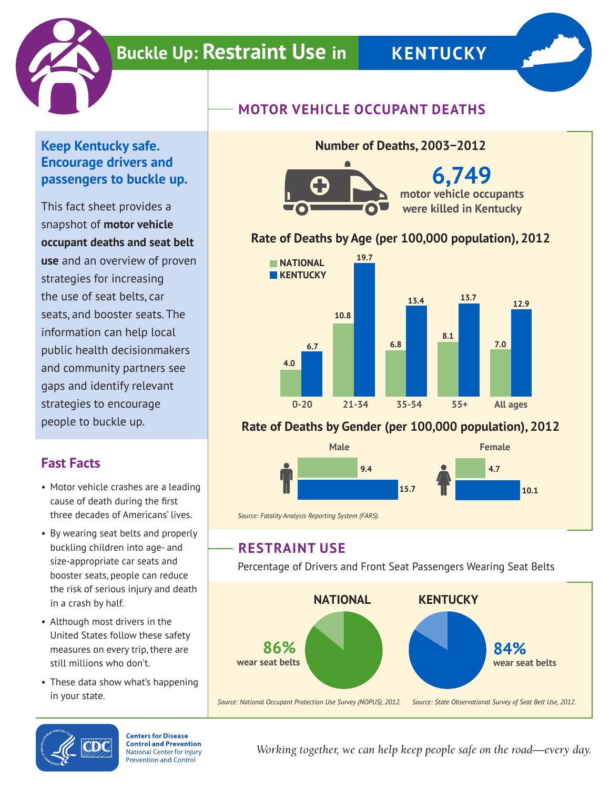

# **Buckle Up: Restraint Use in KENTUCKY**



#### **Keep Kentucky safe. Encourage drivers and passengers to buckle up.**

This fact sheet provides a snapshot of **motor vehicle occupant deaths and seat belt use** and an overview of proven strategies for increasing the use of seat belts, car seats, and booster seats. The information can help local public health decisionmakers and community partners see gaps and identify relevant strategies to encourage people to buckle up.

## **Fast Facts**

- Motor vehicle crashes are a leading cause of death during the first three decades of Americans' lives.
- By wearing seat belts and properly buckling children into age- and size-appropriate car seats and booster seats, people can reduce the risk of serious injury and death in a crash by half.
- Although most drivers in the United States follow these safety measures on every trip, there are still millions who don't.
- These data show what's happening in your state.





**6,749 motor vehicle occupants were killed in Kentucky**

### **Rate of Deaths by Age (per 100,000 population), 2012**

**Number of Deaths, 2003−2012**



#### **Rate of Deaths by Gender (per 100,000 population), 2012**



*Source: Fatality Analysis Reporting System (FARS).*

## **RESTRAINT USE**

Percentage of Drivers and Front Seat Passengers Wearing Seat Belts





**Centers for Disease Control and Prevention National Center for Injury Prevention and Control** 

*Working together, we can help keep people safe on the road—every day.*